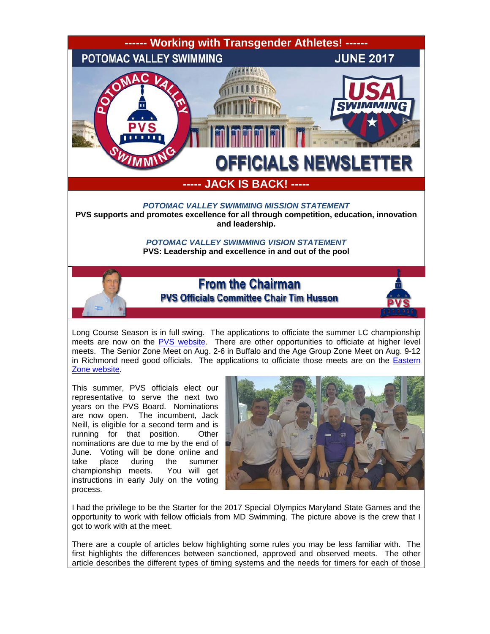

Long Course Season is in full swing. The applications to officiate the summer LC championship meets are now on the [PVS website.](http://www.pvswim.org/official/applications.html) There are other opportunities to officiate at higher level meets. The Senior Zone Meet on Aug. 2-6 in Buffalo and the Age Group Zone Meet on Aug. 9-12 in Richmond need good officials. The applications to officiate those meets are on the **Eastern** [Zone website.](http://www.easternzoneswimming.org/)

This summer, PVS officials elect our representative to serve the next two years on the PVS Board. Nominations are now open. The incumbent, Jack Neill, is eligible for a second term and is running for that position. Other nominations are due to me by the end of June. Voting will be done online and<br>take place during the summer take place during the summer championship meets. You will get instructions in early July on the voting process.

![](_page_0_Picture_3.jpeg)

I had the privilege to be the Starter for the 2017 Special Olympics Maryland State Games and the opportunity to work with fellow officials from MD Swimming. The picture above is the crew that I got to work with at the meet.

There are a couple of articles below highlighting some rules you may be less familiar with. The first highlights the differences between sanctioned, approved and observed meets. The other article describes the different types of timing systems and the needs for timers for each of those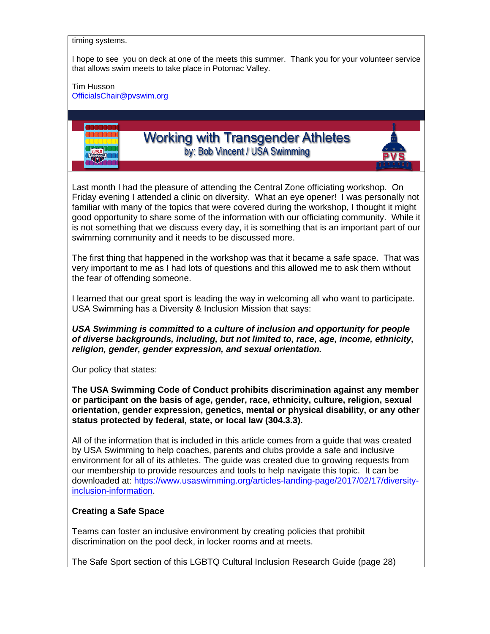timing systems.

I hope to see you on deck at one of the meets this summer. Thank you for your volunteer service that allows swim meets to take place in Potomac Valley.

Tim Husson

[OfficialsChair@pvswim.org](mailto:OfficialsChair@pvswim.org)

![](_page_1_Picture_4.jpeg)

Last month I had the pleasure of attending the Central Zone officiating workshop. On Friday evening I attended a clinic on diversity. What an eye opener! I was personally not familiar with many of the topics that were covered during the workshop, I thought it might good opportunity to share some of the information with our officiating community. While it is not something that we discuss every day, it is something that is an important part of our swimming community and it needs to be discussed more.

The first thing that happened in the workshop was that it became a safe space. That was very important to me as I had lots of questions and this allowed me to ask them without the fear of offending someone.

I learned that our great sport is leading the way in welcoming all who want to participate. USA Swimming has a Diversity & Inclusion Mission that says:

*USA Swimming is committed to a culture of inclusion and opportunity for people of diverse backgrounds, including, but not limited to, race, age, income, ethnicity, religion, gender, gender expression, and sexual orientation.*

Our policy that states:

**The USA Swimming Code of Conduct prohibits discrimination against any member or participant on the basis of age, gender, race, ethnicity, culture, religion, sexual orientation, gender expression, genetics, mental or physical disability, or any other status protected by federal, state, or local law (304.3.3).**

All of the information that is included in this article comes from a guide that was created by USA Swimming to help coaches, parents and clubs provide a safe and inclusive environment for all of its athletes. The guide was created due to growing requests from our membership to provide resources and tools to help navigate this topic. It can be downloaded at: [https://www.usaswimming.org/articles-landing-page/2017/02/17/diversity](https://www.usaswimming.org/articles-landing-page/2017/02/17/diversity-inclusion-information)[inclusion-information.](https://www.usaswimming.org/articles-landing-page/2017/02/17/diversity-inclusion-information)

## **Creating a Safe Space**

Teams can foster an inclusive environment by creating policies that prohibit discrimination on the pool deck, in locker rooms and at meets.

The Safe Sport section of this LGBTQ Cultural Inclusion Research Guide (page 28)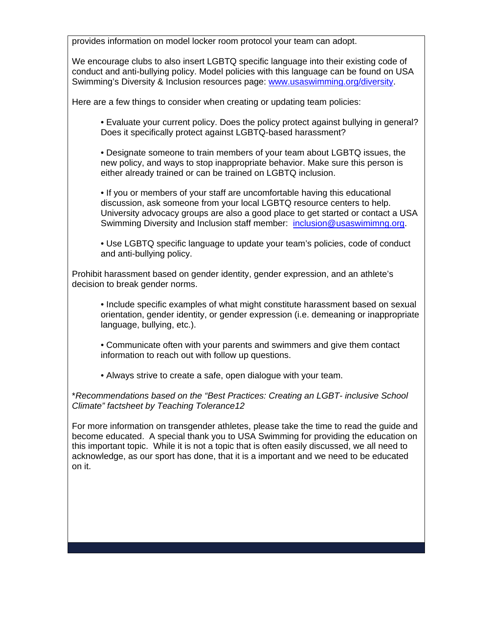provides information on model locker room protocol your team can adopt.

We encourage clubs to also insert LGBTQ specific language into their existing code of conduct and anti-bullying policy. Model policies with this language can be found on USA Swimming's Diversity & Inclusion resources page: [www.usaswimming.org/diversity.](http://www.usaswimming.org/diversity)

Here are a few things to consider when creating or updating team policies:

• Evaluate your current policy. Does the policy protect against bullying in general? Does it specifically protect against LGBTQ-based harassment?

• Designate someone to train members of your team about LGBTQ issues, the new policy, and ways to stop inappropriate behavior. Make sure this person is either already trained or can be trained on LGBTQ inclusion.

• If you or members of your staff are uncomfortable having this educational discussion, ask someone from your local LGBTQ resource centers to help. University advocacy groups are also a good place to get started or contact a USA Swimming Diversity and Inclusion staff member: [inclusion@usaswimimng.org.](mailto:inclusion@usaswimimng.org)

• Use LGBTQ specific language to update your team's policies, code of conduct and anti-bullying policy.

Prohibit harassment based on gender identity, gender expression, and an athlete's decision to break gender norms.

• Include specific examples of what might constitute harassment based on sexual orientation, gender identity, or gender expression (i.e. demeaning or inappropriate language, bullying, etc.).

• Communicate often with your parents and swimmers and give them contact information to reach out with follow up questions.

• Always strive to create a safe, open dialogue with your team.

\**Recommendations based on the "Best Practices: Creating an LGBT- inclusive School Climate" factsheet by Teaching Tolerance12*

For more information on transgender athletes, please take the time to read the guide and become educated. A special thank you to USA Swimming for providing the education on this important topic. While it is not a topic that is often easily discussed, we all need to acknowledge, as our sport has done, that it is a important and we need to be educated on it.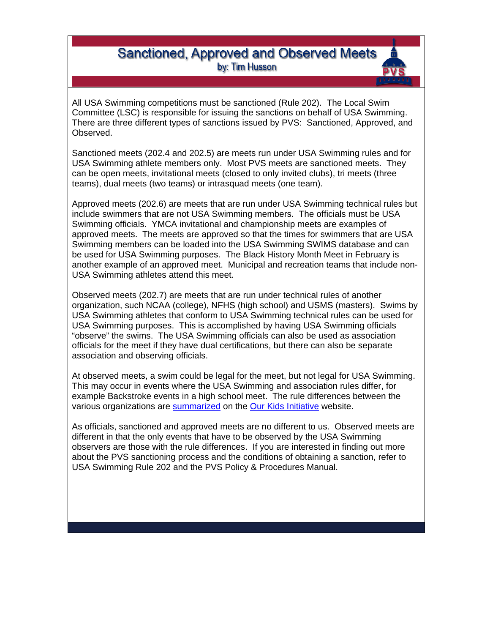## **Sanctioned, Approved and Observed Meets** by: Tim Husson

All USA Swimming competitions must be sanctioned (Rule 202). The Local Swim Committee (LSC) is responsible for issuing the sanctions on behalf of USA Swimming. There are three different types of sanctions issued by PVS: Sanctioned, Approved, and Observed.

Sanctioned meets (202.4 and 202.5) are meets run under USA Swimming rules and for USA Swimming athlete members only. Most PVS meets are sanctioned meets. They can be open meets, invitational meets (closed to only invited clubs), tri meets (three teams), dual meets (two teams) or intrasquad meets (one team).

Approved meets (202.6) are meets that are run under USA Swimming technical rules but include swimmers that are not USA Swimming members. The officials must be USA Swimming officials. YMCA invitational and championship meets are examples of approved meets. The meets are approved so that the times for swimmers that are USA Swimming members can be loaded into the USA Swimming SWIMS database and can be used for USA Swimming purposes. The Black History Month Meet in February is another example of an approved meet. Municipal and recreation teams that include non-USA Swimming athletes attend this meet.

Observed meets (202.7) are meets that are run under technical rules of another organization, such NCAA (college), NFHS (high school) and USMS (masters). Swims by USA Swimming athletes that conform to USA Swimming technical rules can be used for USA Swimming purposes. This is accomplished by having USA Swimming officials "observe" the swims. The USA Swimming officials can also be used as association officials for the meet if they have dual certifications, but there can also be separate association and observing officials.

At observed meets, a swim could be legal for the meet, but not legal for USA Swimming. This may occur in events where the USA Swimming and association rules differ, for example Backstroke events in a high school meet. The rule differences between the various organizations are [summarized](https://docs.wixstatic.com/ugd/8c869c_6c49a0046b114c428d8f4ec5453228e5.pdf) on the [Our Kids Initiative](https://www.ourkidsinitiative.org/) website.

As officials, sanctioned and approved meets are no different to us. Observed meets are different in that the only events that have to be observed by the USA Swimming observers are those with the rule differences. If you are interested in finding out more about the PVS sanctioning process and the conditions of obtaining a sanction, refer to USA Swimming Rule 202 and the PVS Policy & Procedures Manual.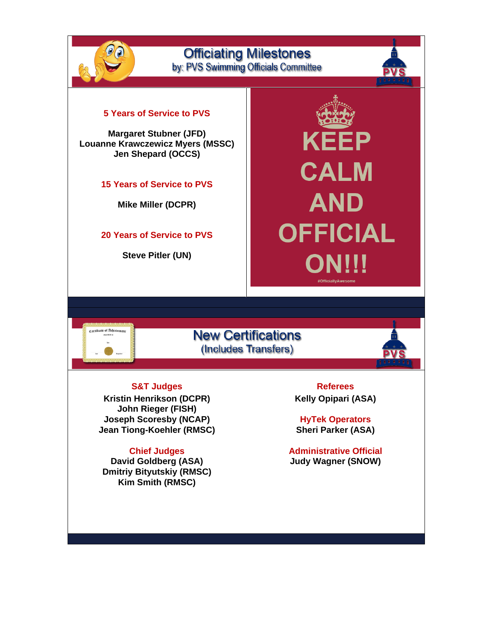![](_page_4_Picture_0.jpeg)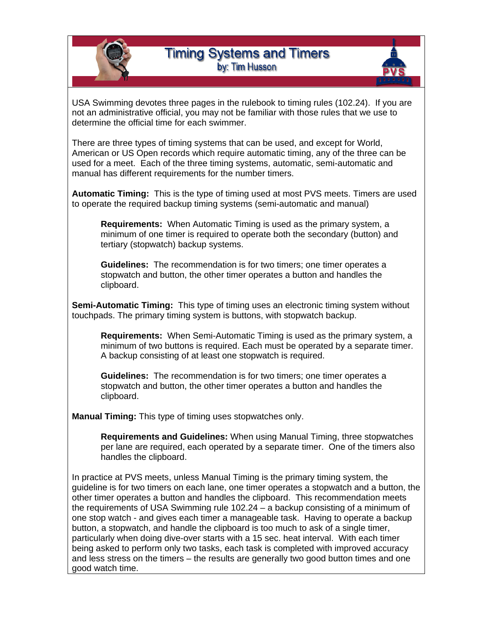![](_page_5_Picture_0.jpeg)

![](_page_5_Picture_1.jpeg)

USA Swimming devotes three pages in the rulebook to timing rules (102.24). If you are not an administrative official, you may not be familiar with those rules that we use to determine the official time for each swimmer.

There are three types of timing systems that can be used, and except for World, American or US Open records which require automatic timing, any of the three can be used for a meet. Each of the three timing systems, automatic, semi-automatic and manual has different requirements for the number timers.

**Automatic Timing:** This is the type of timing used at most PVS meets. Timers are used to operate the required backup timing systems (semi-automatic and manual)

**Requirements:** When Automatic Timing is used as the primary system, a minimum of one timer is required to operate both the secondary (button) and tertiary (stopwatch) backup systems.

**Guidelines:** The recommendation is for two timers; one timer operates a stopwatch and button, the other timer operates a button and handles the clipboard.

**Semi-Automatic Timing:** This type of timing uses an electronic timing system without touchpads. The primary timing system is buttons, with stopwatch backup.

**Requirements:** When Semi-Automatic Timing is used as the primary system, a minimum of two buttons is required. Each must be operated by a separate timer. A backup consisting of at least one stopwatch is required.

**Guidelines:** The recommendation is for two timers; one timer operates a stopwatch and button, the other timer operates a button and handles the clipboard.

**Manual Timing:** This type of timing uses stopwatches only.

**Requirements and Guidelines:** When using Manual Timing, three stopwatches per lane are required, each operated by a separate timer. One of the timers also handles the clipboard.

In practice at PVS meets, unless Manual Timing is the primary timing system, the guideline is for two timers on each lane, one timer operates a stopwatch and a button, the other timer operates a button and handles the clipboard. This recommendation meets the requirements of USA Swimming rule 102.24 – a backup consisting of a minimum of one stop watch - and gives each timer a manageable task. Having to operate a backup button, a stopwatch, and handle the clipboard is too much to ask of a single timer, particularly when doing dive-over starts with a 15 sec. heat interval. With each timer being asked to perform only two tasks, each task is completed with improved accuracy and less stress on the timers – the results are generally two good button times and one good watch time.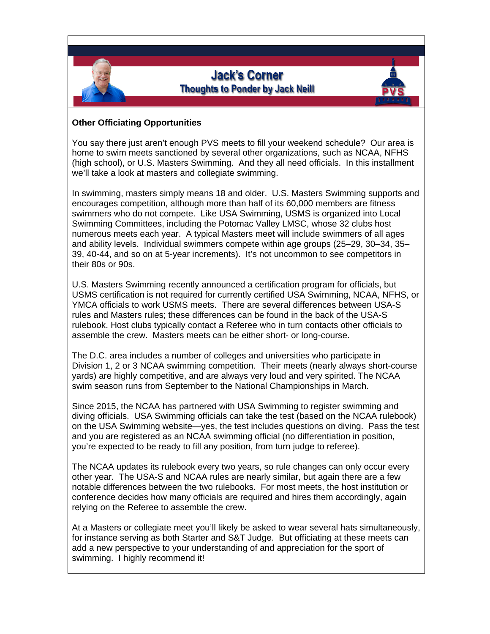![](_page_6_Picture_0.jpeg)

## **Other Officiating Opportunities**

You say there just aren't enough PVS meets to fill your weekend schedule? Our area is home to swim meets sanctioned by several other organizations, such as NCAA, NFHS (high school), or U.S. Masters Swimming. And they all need officials. In this installment we'll take a look at masters and collegiate swimming.

In swimming, masters simply means 18 and older. U.S. Masters Swimming supports and encourages competition, although more than half of its 60,000 members are fitness swimmers who do not compete. Like USA Swimming, USMS is organized into Local Swimming Committees, including the Potomac Valley LMSC, whose 32 clubs host numerous meets each year. A typical Masters meet will include swimmers of all ages and ability levels. Individual swimmers compete within age groups (25–29, 30–34, 35– 39, 40-44, and so on at 5-year increments). It's not uncommon to see competitors in their 80s or 90s.

U.S. Masters Swimming recently announced a certification program for officials, but USMS certification is not required for currently certified USA Swimming, NCAA, NFHS, or YMCA officials to work USMS meets. There are several differences between USA-S rules and Masters rules; these differences can be found in the back of the USA-S rulebook. Host clubs typically contact a Referee who in turn contacts other officials to assemble the crew. Masters meets can be either short- or long-course.

The D.C. area includes a number of colleges and universities who participate in Division 1, 2 or 3 NCAA swimming competition. Their meets (nearly always short-course yards) are highly competitive, and are always very loud and very spirited. The NCAA swim season runs from September to the National Championships in March.

Since 2015, the NCAA has partnered with USA Swimming to register swimming and diving officials. USA Swimming officials can take the test (based on the NCAA rulebook) on the USA Swimming website—yes, the test includes questions on diving. Pass the test and you are registered as an NCAA swimming official (no differentiation in position, you're expected to be ready to fill any position, from turn judge to referee).

The NCAA updates its rulebook every two years, so rule changes can only occur every other year. The USA-S and NCAA rules are nearly similar, but again there are a few notable differences between the two rulebooks. For most meets, the host institution or conference decides how many officials are required and hires them accordingly, again relying on the Referee to assemble the crew.

At a Masters or collegiate meet you'll likely be asked to wear several hats simultaneously, for instance serving as both Starter and S&T Judge. But officiating at these meets can add a new perspective to your understanding of and appreciation for the sport of swimming. I highly recommend it!